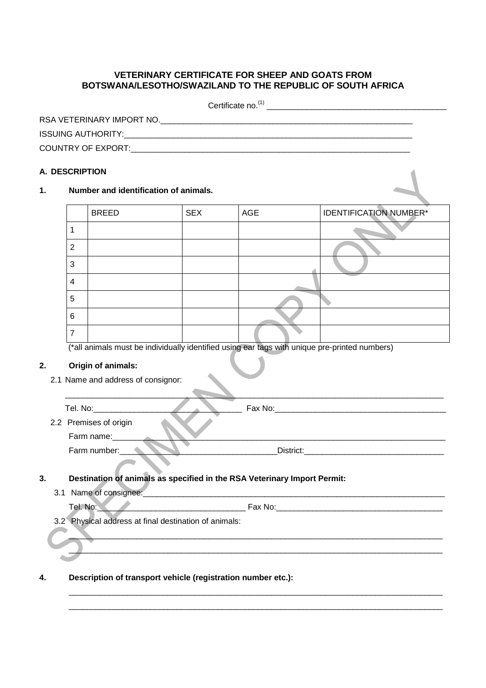# **VETERINARY CERTIFICATE FOR SHEEP AND GOATS FROM BOTSWANA/LESOTHO/SWAZILAND TO THE REPUBLIC OF SOUTH AFRICA**

Certificate no.(1) \_\_\_\_\_\_\_\_\_\_\_\_\_\_\_\_\_\_\_\_\_\_\_\_\_\_\_\_\_\_\_\_\_\_\_\_\_\_\_\_

| RSA VETERINARY IMPORT NO. |  |
|---------------------------|--|
| <b>ISSUING AUTHORITY:</b> |  |
| <b>COUNTRY OF EXPORT:</b> |  |

# **A. DESCRIPTION**

#### **1. Number and identification of animals.**

|   | <b>BREED</b> | <b>SEX</b> | AGE | <b>IDENTIFICATION NUMBER*</b> |
|---|--------------|------------|-----|-------------------------------|
|   |              |            |     |                               |
| 2 |              |            |     |                               |
| 3 |              |            |     |                               |
| 4 |              |            |     |                               |
| 5 |              |            |     |                               |
| 6 |              |            |     |                               |
|   |              |            |     |                               |

(\*all animals must be individually identified using ear tags with unique pre-printed numbers)

### **2. Origin of animals:**

2.1 Name and address of consignor:

| Tel. No:               | Fax No: |
|------------------------|---------|
| 2.2 Premises of origin |         |
| Farm name:             |         |

Farm number:\_\_\_\_\_\_\_\_\_\_\_\_\_\_\_\_\_\_\_\_\_\_\_\_\_\_\_\_\_\_\_\_\_\_\_District:\_\_\_\_\_\_\_\_\_\_\_\_\_\_\_\_\_\_\_\_\_\_\_\_\_\_\_\_\_\_\_

# **3. Destination of animals as specified in the RSA Veterinary Import Permit:**

3.1 Name of consignee:\_\_\_\_\_\_\_\_\_\_\_\_\_\_\_\_\_\_\_\_\_\_\_\_\_\_\_\_\_\_\_\_\_\_\_\_\_\_\_\_\_\_\_\_\_\_\_\_\_\_\_\_\_\_\_\_\_\_\_\_\_\_\_\_\_\_\_

\_\_\_\_\_\_\_\_\_\_\_\_\_\_\_\_\_\_\_\_\_\_\_\_\_\_\_\_\_\_\_\_\_\_\_\_\_\_\_\_\_\_\_\_\_\_\_\_\_\_\_\_\_\_\_\_\_\_\_\_\_\_\_\_\_\_\_\_\_\_\_\_\_\_\_\_\_\_\_\_\_\_\_ \_\_\_\_\_\_\_\_\_\_\_\_\_\_\_\_\_\_\_\_\_\_\_\_\_\_\_\_\_\_\_\_\_\_\_\_\_\_\_\_\_\_\_\_\_\_\_\_\_\_\_\_\_\_\_\_\_\_\_\_\_\_\_\_\_\_\_\_\_\_\_\_\_\_\_\_\_\_\_\_\_\_\_

\_\_\_\_\_\_\_\_\_\_\_\_\_\_\_\_\_\_\_\_\_\_\_\_\_\_\_\_\_\_\_\_\_\_\_\_\_\_\_\_\_\_\_\_\_\_\_\_\_\_\_\_\_\_\_\_\_\_\_\_\_\_\_\_\_\_\_\_\_\_\_\_\_\_\_\_\_\_\_\_\_\_\_

\_\_\_\_\_\_\_\_\_\_\_\_\_\_\_\_\_\_\_\_\_\_\_\_\_\_\_\_\_\_\_\_\_\_\_\_\_\_\_\_\_\_\_\_\_\_\_\_\_\_\_\_\_\_\_\_\_\_\_\_\_\_\_\_\_\_\_\_\_\_\_\_\_\_\_\_\_\_\_\_\_\_\_

- 3.2 Physical address at final destination of animals:
- **4. Description of transport vehicle (registration number etc.):**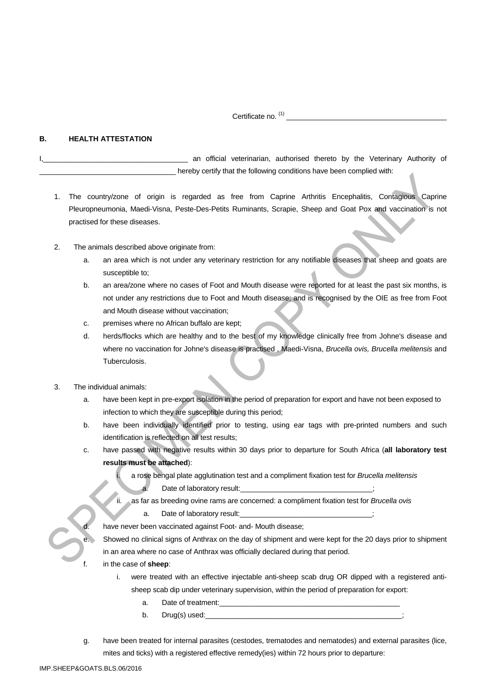Certificate no. (1) \_\_\_\_\_\_\_\_\_\_\_\_\_\_\_\_\_\_\_\_\_\_\_\_\_\_\_\_\_\_\_\_\_\_\_\_\_\_\_\_

#### **B. HEALTH ATTESTATION**

an official veterinarian, authorised thereto by the Veterinary Authority of hereby certify that the following conditions have been complied with:

- 1. The country/zone of origin is regarded as free from Caprine Arthritis Encephalitis, Contagious Caprine Pleuropneumonia, Maedi-Visna, Peste-Des-Petits Ruminants, Scrapie, Sheep and Goat Pox and vaccination is not practised for these diseases.
- 2. The animals described above originate from:
	- a. an area which is not under any veterinary restriction for any notifiable diseases that sheep and goats are susceptible to;
	- b. an area/zone where no cases of Foot and Mouth disease were reported for at least the past six months, is not under any restrictions due to Foot and Mouth disease; and is recognised by the OIE as free from Foot and Mouth disease without vaccination;
	- c. premises where no African buffalo are kept;
	- d. herds/flocks which are healthy and to the best of my knowledge clinically free from Johne's disease and where no vaccination for Johne's disease is practised , Maedi-Visna, *Brucella ovis, Brucella melitensis* and Tuberculosis.
- 3. The individual animals:
	- a. have been kept in pre-export isolation in the period of preparation for export and have not been exposed to infection to which they are susceptible during this period;
	- b. have been individually identified prior to testing, using ear tags with pre-printed numbers and such identification is reflected on all test results;
	- c. have passed with negative results within 30 days prior to departure for South Africa (**all laboratory test results must be attached**):

i. a rose bengal plate agglutination test and a compliment fixation test for *Brucella melitensis* Date of laboratory result:

ii. as far as breeding ovine rams are concerned: a compliment fixation test for *Brucella ovis*

a. Date of laboratory result:\_\_\_\_\_\_\_\_\_\_\_\_\_\_\_\_\_\_\_\_\_\_\_\_\_\_\_\_\_\_\_\_\_;

have never been vaccinated against Foot- and- Mouth disease;

Showed no clinical signs of Anthrax on the day of shipment and were kept for the 20 days prior to shipment in an area where no case of Anthrax was officially declared during that period.

- f. in the case of **sheep**:
	- i. were treated with an effective injectable anti-sheep scab drug OR dipped with a registered antisheep scab dip under veterinary supervision, within the period of preparation for export:
		- a. Date of treatment:
		- $b.$  Drug(s) used:
- g. have been treated for internal parasites (cestodes, trematodes and nematodes) and external parasites (lice, mites and ticks) with a registered effective remedy(ies) within 72 hours prior to departure: